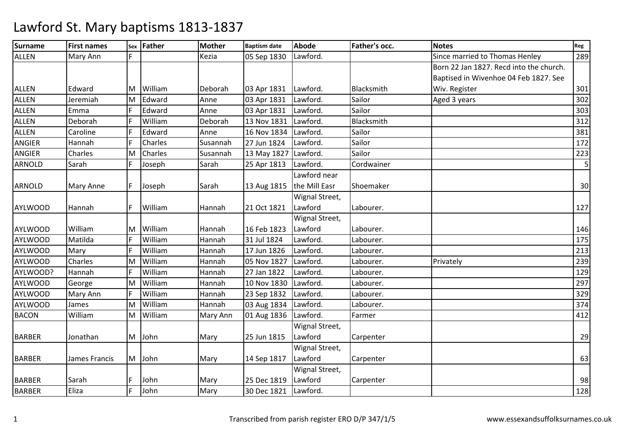| <b>Surname</b> | <b>First names</b> | Sex | <b>Father</b> | <b>Mother</b> | <b>Baptism date</b> | <b>Abode</b>   | Father's occ. | <b>Notes</b>                            | Reg |
|----------------|--------------------|-----|---------------|---------------|---------------------|----------------|---------------|-----------------------------------------|-----|
| <b>ALLEN</b>   | Mary Ann           |     |               | Kezia         | 05 Sep 1830         | Lawford.       |               | Since married to Thomas Henley          | 289 |
|                |                    |     |               |               |                     |                |               | Born 22 Jan 1827. Recd into the church. |     |
|                |                    |     |               |               |                     |                |               | Baptised in Wivenhoe 04 Feb 1827. See   |     |
| <b>ALLEN</b>   | Edward             | ΙM  | William       | Deborah       | 03 Apr 1831         | Lawford.       | Blacksmith    | Wiv. Register                           | 301 |
| <b>ALLEN</b>   | Jeremiah           | lм  | Edward        | Anne          | 03 Apr 1831         | Lawford.       | Sailor        | Aged 3 years                            | 302 |
| <b>ALLEN</b>   | Emma               | F   | Edward        | Anne          | 03 Apr 1831         | Lawford.       | Sailor        |                                         | 303 |
| ALLEN          | Deborah            | F   | William       | Deborah       | 13 Nov 1831         | Lawford.       | Blacksmith    |                                         | 312 |
| <b>ALLEN</b>   | Caroline           |     | Edward        | Anne          | 16 Nov 1834         | Lawford.       | Sailor        |                                         | 381 |
| <b>ANGIER</b>  | Hannah             | F   | Charles       | Susannah      | 27 Jun 1824         | Lawford.       | Sailor        |                                         | 172 |
| <b>ANGIER</b>  | Charles            | M   | Charles       | Susannah      | 13 May 1827         | Lawford.       | Sailor        |                                         | 223 |
| <b>ARNOLD</b>  | Sarah              | F   | Joseph        | Sarah         | 25 Apr 1813         | Lawford.       | Cordwainer    |                                         | 5   |
|                |                    |     |               |               |                     | Lawford near   |               |                                         |     |
| <b>ARNOLD</b>  | Mary Anne          | F   | Joseph        | Sarah         | 13 Aug 1815         | the Mill Easr  | Shoemaker     |                                         | 30  |
|                |                    |     |               |               |                     | Wignal Street, |               |                                         |     |
| <b>AYLWOOD</b> | Hannah             | F   | William       | Hannah        | 21 Oct 1821         | Lawford        | Labourer.     |                                         | 127 |
|                |                    |     |               |               |                     | Wignal Street, |               |                                         |     |
| <b>AYLWOOD</b> | William            | ΙM  | William       | Hannah        | 16 Feb 1823         | Lawford        | Labourer.     |                                         | 146 |
| <b>AYLWOOD</b> | Matilda            | F   | William       | Hannah        | 31 Jul 1824         | Lawford.       | Labourer.     |                                         | 175 |
| <b>AYLWOOD</b> | Mary               | F   | William       | Hannah        | 17 Jun 1826         | Lawford.       | Labourer.     |                                         | 213 |
| <b>AYLWOOD</b> | Charles            | M   | William       | Hannah        | 05 Nov 1827         | Lawford.       | Labourer.     | Privately                               | 239 |
| AYLWOOD?       | Hannah             | F   | William       | Hannah        | 27 Jan 1822         | Lawford.       | Labourer.     |                                         | 129 |
| <b>AYLWOOD</b> | George             | M   | William       | Hannah        | 10 Nov 1830         | Lawford.       | Labourer.     |                                         | 297 |
| <b>AYLWOOD</b> | Mary Ann           |     | William       | Hannah        | 23 Sep 1832         | Lawford.       | Labourer.     |                                         | 329 |
| <b>AYLWOOD</b> | James              | lΜ  | William       | Hannah        | 03 Aug 1834         | Lawford.       | Labourer.     |                                         | 374 |
| <b>BACON</b>   | William            | M   | William       | Mary Ann      | 01 Aug 1836         | Lawford.       | Farmer        |                                         | 412 |
|                |                    |     |               |               |                     | Wignal Street, |               |                                         |     |
| <b>BARBER</b>  | Jonathan           | M   | John          | Mary          | 25 Jun 1815         | Lawford        | Carpenter     |                                         | 29  |
|                |                    |     |               |               |                     | Wignal Street, |               |                                         |     |
| <b>BARBER</b>  | James Francis      | M   | John          | Mary          | 14 Sep 1817         | Lawford        | Carpenter     |                                         | 63  |
|                |                    |     |               |               |                     | Wignal Street, |               |                                         |     |
| <b>BARBER</b>  | Sarah              |     | John          | Mary          | 25 Dec 1819         | Lawford        | Carpenter     |                                         | 98  |
| <b>BARBER</b>  | Eliza              | F   | John          | Mary          | 30 Dec 1821         | Lawford.       |               |                                         | 128 |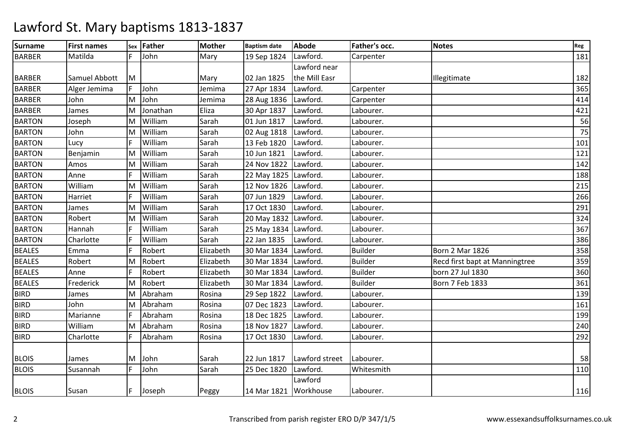| <b>Surname</b> | <b>First names</b> | Sex | Father   | <b>Mother</b> | <b>Baptism date</b>   | <b>Abode</b>   | Father's occ.  | <b>Notes</b>                   | Reg |
|----------------|--------------------|-----|----------|---------------|-----------------------|----------------|----------------|--------------------------------|-----|
| <b>BARBER</b>  | Matilda            | F.  | John     | Mary          | 19 Sep 1824           | Lawford.       | Carpenter      |                                | 181 |
|                |                    |     |          |               |                       | Lawford near   |                |                                |     |
| <b>BARBER</b>  | Samuel Abbott      | M   |          | Mary          | 02 Jan 1825           | the Mill Easr  |                | Illegitimate                   | 182 |
| <b>BARBER</b>  | Alger Jemima       |     | John     | Jemima        | 27 Apr 1834           | Lawford.       | Carpenter      |                                | 365 |
| <b>BARBER</b>  | John               | M   | John     | Jemima        | 28 Aug 1836           | Lawford.       | Carpenter      |                                | 414 |
| <b>BARBER</b>  | James              | M   | Jonathan | Eliza         | 30 Apr 1837           | Lawford.       | Labourer.      |                                | 421 |
| <b>BARTON</b>  | Joseph             | M   | William  | Sarah         | 01 Jun 1817           | Lawford.       | Labourer.      |                                | 56  |
| <b>BARTON</b>  | John               | M   | William  | Sarah         | 02 Aug 1818           | Lawford.       | Labourer.      |                                | 75  |
| <b>BARTON</b>  | Lucy               |     | William  | Sarah         | 13 Feb 1820           | Lawford.       | Labourer.      |                                | 101 |
| <b>BARTON</b>  | Benjamin           | M   | William  | Sarah         | 10 Jun 1821           | Lawford.       | Labourer.      |                                | 121 |
| <b>BARTON</b>  | Amos               | lм  | William  | Sarah         | 24 Nov 1822           | Lawford.       | Labourer.      |                                | 142 |
| <b>BARTON</b>  | Anne               |     | William  | Sarah         | 22 May 1825 Lawford.  |                | Labourer.      |                                | 188 |
| <b>BARTON</b>  | William            | M   | William  | Sarah         | 12 Nov 1826           | Lawford.       | Labourer.      |                                | 215 |
| <b>BARTON</b>  | Harriet            | F   | William  | Sarah         | 07 Jun 1829           | Lawford.       | Labourer.      |                                | 266 |
| <b>BARTON</b>  | James              | lм  | William  | Sarah         | 17 Oct 1830           | Lawford.       | Labourer.      |                                | 291 |
| <b>BARTON</b>  | Robert             | M   | William  | Sarah         | 20 May 1832 Lawford.  |                | Labourer.      |                                | 324 |
| <b>BARTON</b>  | Hannah             |     | William  | Sarah         | 25 May 1834 Lawford.  |                | Labourer.      |                                | 367 |
| <b>BARTON</b>  | Charlotte          |     | William  | Sarah         | 22 Jan 1835           | Lawford.       | Labourer.      |                                | 386 |
| <b>BEALES</b>  | Emma               |     | Robert   | Elizabeth     | 30 Mar 1834           | Lawford.       | <b>Builder</b> | <b>Born 2 Mar 1826</b>         | 358 |
| <b>BEALES</b>  | Robert             | M   | Robert   | Elizabeth     | 30 Mar 1834           | Lawford.       | <b>Builder</b> | Recd first bapt at Manningtree | 359 |
| <b>BEALES</b>  | Anne               | F   | Robert   | Elizabeth     | 30 Mar 1834           | Lawford.       | <b>Builder</b> | born 27 Jul 1830               | 360 |
| <b>BEALES</b>  | Frederick          | M   | Robert   | Elizabeth     | 30 Mar 1834 Lawford.  |                | <b>Builder</b> | Born 7 Feb 1833                | 361 |
| <b>BIRD</b>    | James              | M   | Abraham  | Rosina        | 29 Sep 1822           | Lawford.       | Labourer.      |                                | 139 |
| <b>BIRD</b>    | John               | M   | Abraham  | Rosina        | 07 Dec 1823           | Lawford.       | Labourer.      |                                | 161 |
| <b>BIRD</b>    | Marianne           |     | Abraham  | Rosina        | 18 Dec 1825           | Lawford.       | Labourer.      |                                | 199 |
| <b>BIRD</b>    | William            | ΙM  | Abraham  | Rosina        | 18 Nov 1827           | Lawford.       | Labourer.      |                                | 240 |
| <b>BIRD</b>    | Charlotte          |     | Abraham  | Rosina        | 17 Oct 1830           | Lawford.       | Labourer.      |                                | 292 |
|                |                    |     |          |               |                       |                |                |                                |     |
| <b>BLOIS</b>   | James              | M   | John     | Sarah         | 22 Jun 1817           | Lawford street | Labourer.      |                                | 58  |
| <b>BLOIS</b>   | Susannah           | F   | John     | Sarah         | 25 Dec 1820           | Lawford.       | Whitesmith     |                                | 110 |
|                |                    |     |          |               |                       | Lawford        |                |                                |     |
| <b>BLOIS</b>   | Susan              | IF. | Joseph   | Peggy         | 14 Mar 1821 Workhouse |                | Labourer.      |                                | 116 |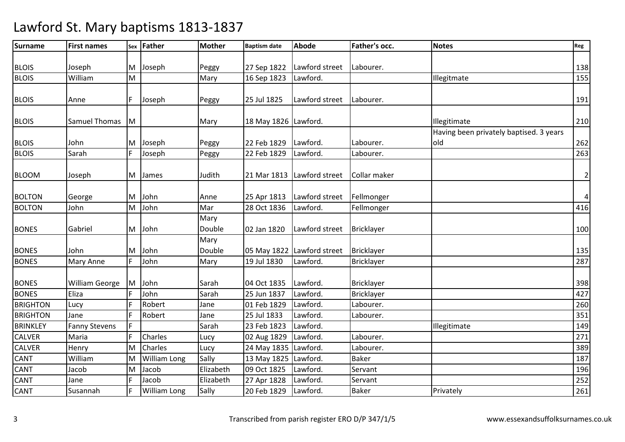| <b>Surname</b>  | <b>First names</b>    | Sex | Father              | <b>Mother</b> | <b>Baptism date</b>  | <b>Abode</b>               | Father's occ.     | <b>Notes</b>                            | Reg            |
|-----------------|-----------------------|-----|---------------------|---------------|----------------------|----------------------------|-------------------|-----------------------------------------|----------------|
|                 |                       |     |                     |               |                      |                            |                   |                                         |                |
| <b>BLOIS</b>    | Joseph                | M   | Joseph              | Peggy         | 27 Sep 1822          | Lawford street             | Labourer.         |                                         | 138            |
| <b>BLOIS</b>    | William               | M   |                     | Mary          | 16 Sep 1823          | Lawford.                   |                   | Illegitmate                             | 155            |
|                 |                       |     |                     |               |                      |                            |                   |                                         |                |
| <b>BLOIS</b>    | Anne                  | F   | Joseph              | Peggy         | 25 Jul 1825          | Lawford street             | Labourer.         |                                         | 191            |
|                 |                       |     |                     |               |                      |                            |                   |                                         |                |
| <b>BLOIS</b>    | <b>Samuel Thomas</b>  | M   |                     | Mary          | 18 May 1826 Lawford. |                            |                   | Illegitimate                            | 210            |
|                 |                       |     |                     |               |                      |                            |                   | Having been privately baptised. 3 years |                |
| <b>BLOIS</b>    | John                  | M   | Joseph              | Peggy         | 22 Feb 1829          | Lawford.                   | Labourer.         | old                                     | 262            |
| <b>BLOIS</b>    | Sarah                 | F.  | Joseph              | Peggy         | 22 Feb 1829          | Lawford.                   | Labourer.         |                                         | 263            |
| <b>BLOOM</b>    |                       | M   | James               | Judith        | 21 Mar 1813          | Lawford street             | Collar maker      |                                         | $\overline{2}$ |
|                 | Joseph                |     |                     |               |                      |                            |                   |                                         |                |
| <b>BOLTON</b>   | George                | M   | John                | Anne          | 25 Apr 1813          | Lawford street             | Fellmonger        |                                         | $\vert$        |
| <b>BOLTON</b>   | John                  | M   | John                | Mar           | 28 Oct 1836          | Lawford.                   | Fellmonger        |                                         | 416            |
|                 |                       |     |                     | Mary          |                      |                            |                   |                                         |                |
| <b>BONES</b>    | Gabriel               | M   | John                | Double        | 02 Jan 1820          | Lawford street             | Bricklayer        |                                         | 100            |
|                 |                       |     |                     | Mary          |                      |                            |                   |                                         |                |
| <b>BONES</b>    | John                  | M   | John                | Double        |                      | 05 May 1822 Lawford street | Bricklayer        |                                         | 135            |
| <b>BONES</b>    | Mary Anne             | F   | John                | Mary          | 19 Jul 1830          | Lawford.                   | <b>Bricklayer</b> |                                         | 287            |
|                 |                       |     |                     |               |                      |                            |                   |                                         |                |
| <b>BONES</b>    | <b>William George</b> | Iм  | John                | Sarah         | 04 Oct 1835          | Lawford.                   | <b>Bricklayer</b> |                                         | 398            |
| <b>BONES</b>    | Eliza                 |     | John                | Sarah         | 25 Jun 1837          | Lawford.                   | Bricklayer        |                                         | 427            |
| <b>BRIGHTON</b> | Lucy                  |     | Robert              | Jane          | 01 Feb 1829          | Lawford.                   | Labourer.         |                                         | 260            |
| <b>BRIGHTON</b> | Jane                  | F.  | Robert              | Jane          | 25 Jul 1833          | Lawford.                   | Labourer.         |                                         | 351            |
| <b>BRINKLEY</b> | <b>Fanny Stevens</b>  |     |                     | Sarah         | 23 Feb 1823          | Lawford.                   |                   | Illegitimate                            | 149            |
| <b>CALVER</b>   | Maria                 |     | Charles             | Lucy          | 02 Aug 1829          | Lawford.                   | Labourer.         |                                         | 271            |
| <b>CALVER</b>   | Henry                 | M   | Charles             | Lucy          | 24 May 1835 Lawford. |                            | Labourer.         |                                         | 389            |
| CANT            | William               | M   | <b>William Long</b> | Sally         | 13 May 1825 Lawford. |                            | <b>Baker</b>      |                                         | 187            |
| <b>CANT</b>     | Jacob                 | M   | Jacob               | Elizabeth     | 09 Oct 1825          | Lawford.                   | Servant           |                                         | 196            |
| CANT            | Jane                  |     | Jacob               | Elizabeth     | 27 Apr 1828          | Lawford.                   | Servant           |                                         | 252            |
| <b>CANT</b>     | Susannah              | F   | <b>William Long</b> | Sally         | 20 Feb 1829          | Lawford.                   | Baker             | Privately                               | 261            |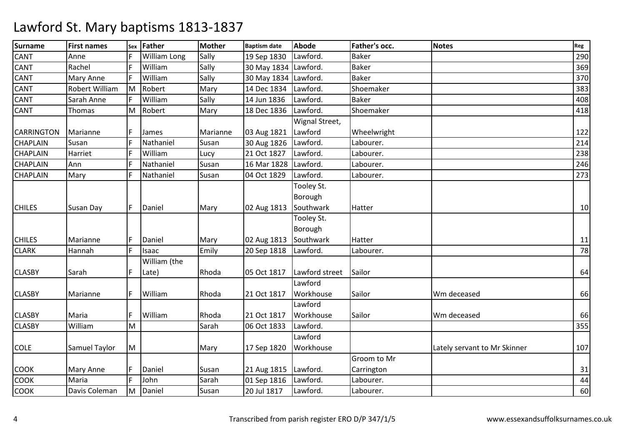| <b>Surname</b>    | <b>First names</b>   | Sex | Father       | <b>Mother</b> | <b>Baptism date</b>  | <b>Abode</b>   | Father's occ. | <b>Notes</b>                 | Reg    |
|-------------------|----------------------|-----|--------------|---------------|----------------------|----------------|---------------|------------------------------|--------|
| <b>CANT</b>       | Anne                 |     | William Long | Sally         | 19 Sep 1830          | Lawford.       | <b>Baker</b>  |                              | 290    |
| <b>CANT</b>       | Rachel               |     | William      | Sally         | 30 May 1834 Lawford. |                | <b>Baker</b>  |                              | 369    |
| <b>CANT</b>       | Mary Anne            | F   | William      | Sally         | 30 May 1834 Lawford. |                | <b>Baker</b>  |                              | 370    |
| <b>CANT</b>       | Robert William       | lм  | Robert       | Mary          | 14 Dec 1834          | Lawford.       | Shoemaker     |                              | 383    |
| <b>CANT</b>       | Sarah Anne           | E   | William      | Sally         | 14 Jun 1836          | Lawford.       | <b>Baker</b>  |                              | 408    |
| <b>CANT</b>       | Thomas               | İМ  | Robert       | Mary          | 18 Dec 1836          | Lawford.       | Shoemaker     |                              | 418    |
|                   |                      |     |              |               |                      | Wignal Street, |               |                              |        |
| <b>CARRINGTON</b> | Marianne             |     | James        | Marianne      | 03 Aug 1821          | Lawford        | Wheelwright   |                              | 122    |
| <b>CHAPLAIN</b>   | Susan                |     | Nathaniel    | Susan         | 30 Aug 1826          | Lawford.       | Labourer.     |                              | 214    |
| <b>CHAPLAIN</b>   | Harriet              |     | William      | Lucy          | 21 Oct 1827          | Lawford.       | Labourer.     |                              | 238    |
| <b>CHAPLAIN</b>   | Ann                  |     | Nathaniel    | Susan         | 16 Mar 1828          | Lawford.       | Labourer.     |                              | 246    |
| <b>CHAPLAIN</b>   | Mary                 | F   | Nathaniel    | Susan         | 04 Oct 1829          | Lawford.       | Labourer.     |                              | 273    |
|                   |                      |     |              |               |                      | Tooley St.     |               |                              |        |
|                   |                      |     |              |               |                      | Borough        |               |                              |        |
| <b>CHILES</b>     | <b>Susan Day</b>     | IF. | Daniel       | Mary          | 02 Aug 1813          | Southwark      | Hatter        |                              | 10     |
|                   |                      |     |              |               |                      | Tooley St.     |               |                              |        |
|                   |                      |     |              |               |                      | Borough        |               |                              |        |
| <b>CHILES</b>     | Marianne             | F   | Daniel       | Mary          | 02 Aug 1813          | Southwark      | Hatter        |                              | 11     |
| <b>CLARK</b>      | Hannah               | F   | Isaac        | Emily         | 20 Sep 1818          | Lawford.       | Labourer.     |                              | 78     |
|                   |                      |     | William (the |               |                      |                |               |                              |        |
| <b>CLASBY</b>     | Sarah                | F   | Late)        | Rhoda         | 05 Oct 1817          | Lawford street | Sailor        |                              | 64     |
|                   |                      |     |              |               |                      | Lawford        |               |                              |        |
| <b>CLASBY</b>     | Marianne             | F   | William      | Rhoda         | 21 Oct 1817          | Workhouse      | Sailor        | Wm deceased                  | 66     |
|                   |                      |     |              |               |                      | Lawford        |               |                              |        |
| <b>CLASBY</b>     | Maria                | F   | William      | Rhoda         | 21 Oct 1817          | Workhouse      | Sailor        | Wm deceased                  | 66     |
| <b>CLASBY</b>     | William              | M   |              | Sarah         | 06 Oct 1833          | Lawford.       |               |                              | 355    |
|                   |                      |     |              |               |                      | Lawford        |               |                              |        |
| <b>COLE</b>       | <b>Samuel Taylor</b> | M   |              | Mary          | 17 Sep 1820          | Workhouse      |               | Lately servant to Mr Skinner | 107    |
|                   |                      |     |              |               |                      |                | Groom to Mr   |                              |        |
| <b>COOK</b>       | Mary Anne            | F   | Daniel       | Susan         | 21 Aug 1815          | Lawford.       | Carrington    |                              | 31     |
| COOK              | Maria                | E.  | John         | Sarah         | 01 Sep 1816          | Lawford.       | Labourer.     |                              | $44\,$ |
| <b>COOK</b>       | Davis Coleman        | Iм  | Daniel       | Susan         | 20 Jul 1817          | Lawford.       | Labourer.     |                              | 60     |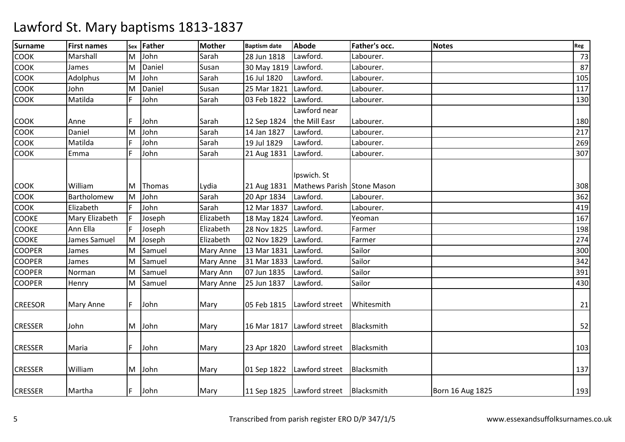| <b>Surname</b> | <b>First names</b> |     | sex Father | <b>Mother</b>    | <b>Baptism date</b>  | <b>Abode</b>                              | Father's occ. | <b>Notes</b>     | Reg |
|----------------|--------------------|-----|------------|------------------|----------------------|-------------------------------------------|---------------|------------------|-----|
| <b>COOK</b>    | Marshall           | M   | John       | Sarah            | 28 Jun 1818          | Lawford.                                  | Labourer.     |                  | 73  |
| <b>COOK</b>    | James              | M   | Daniel     | Susan            | 30 May 1819 Lawford. |                                           | Labourer.     |                  | 87  |
| <b>COOK</b>    | Adolphus           | M   | John       | Sarah            | 16 Jul 1820          | Lawford.                                  | Labourer.     |                  | 105 |
| <b>COOK</b>    | John               | M   | Daniel     | Susan            | 25 Mar 1821          | Lawford.                                  | Labourer.     |                  | 117 |
| <b>COOK</b>    | Matilda            | F   | John       | Sarah            | 03 Feb 1822          | Lawford.                                  | Labourer.     |                  | 130 |
|                |                    |     |            |                  |                      | Lawford near                              |               |                  |     |
| <b>COOK</b>    | Anne               |     | John       | Sarah            | 12 Sep 1824          | the Mill Easr                             | Labourer.     |                  | 180 |
| <b>COOK</b>    | Daniel             | M   | John       | Sarah            | 14 Jan 1827          | Lawford.                                  | Labourer.     |                  | 217 |
| <b>COOK</b>    | Matilda            |     | John       | Sarah            | 19 Jul 1829          | Lawford.                                  | Labourer.     |                  | 269 |
| <b>COOK</b>    | Emma               | IF. | John       | Sarah            | 21 Aug 1831          | Lawford.                                  | Labourer.     |                  | 307 |
| <b>COOK</b>    | William            | M   | Thomas     | Lydia            | 21 Aug 1831          | Ipswich. St<br>Mathews Parish Stone Mason |               |                  | 308 |
| <b>COOK</b>    | Bartholomew        | M   | John       | Sarah            | 20 Apr 1834          | Lawford.                                  | Labourer.     |                  | 362 |
| <b>COOK</b>    | Elizabeth          |     | John       | Sarah            | 12 Mar 1837 Lawford. |                                           | Labourer.     |                  | 419 |
| <b>COOKE</b>   | Mary Elizabeth     |     | Joseph     | Elizabeth        | 18 May 1824 Lawford. |                                           | Yeoman        |                  | 167 |
| <b>COOKE</b>   | Ann Ella           |     | Joseph     | Elizabeth        | 28 Nov 1825 Lawford. |                                           | Farmer        |                  | 198 |
| <b>COOKE</b>   | James Samuel       | M   | Joseph     | Elizabeth        | 02 Nov 1829          | Lawford.                                  | Farmer        |                  | 274 |
| <b>COOPER</b>  | James              | M   | Samuel     | <b>Mary Anne</b> | 13 Mar 1831          | Lawford.                                  | Sailor        |                  | 300 |
| <b>COOPER</b>  | James              | M   | Samuel     | <b>Mary Anne</b> | 31 Mar 1833          | Lawford.                                  | Sailor        |                  | 342 |
| <b>COOPER</b>  | Norman             | M   | Samuel     | Mary Ann         | 07 Jun 1835          | Lawford.                                  | Sailor        |                  | 391 |
| <b>COOPER</b>  | Henry              | M   | Samuel     | Mary Anne        | 25 Jun 1837          | Lawford.                                  | Sailor        |                  | 430 |
| <b>CREESOR</b> | Mary Anne          | IF. | John       | Mary             |                      | 05 Feb 1815   Lawford street              | Whitesmith    |                  | 21  |
| <b>CRESSER</b> | John               | M   | John       | Mary             |                      | 16 Mar 1817 Lawford street                | Blacksmith    |                  | 52  |
| <b>CRESSER</b> | Maria              | IF. | John       | Mary             |                      | 23 Apr 1820   Lawford street              | Blacksmith    |                  | 103 |
| <b>CRESSER</b> | William            | M   | John       | Mary             |                      | 01 Sep 1822   Lawford street              | Blacksmith    |                  | 137 |
| <b>CRESSER</b> | Martha             | IF. | John       | Mary             |                      | 11 Sep 1825   Lawford street   Blacksmith |               | Born 16 Aug 1825 | 193 |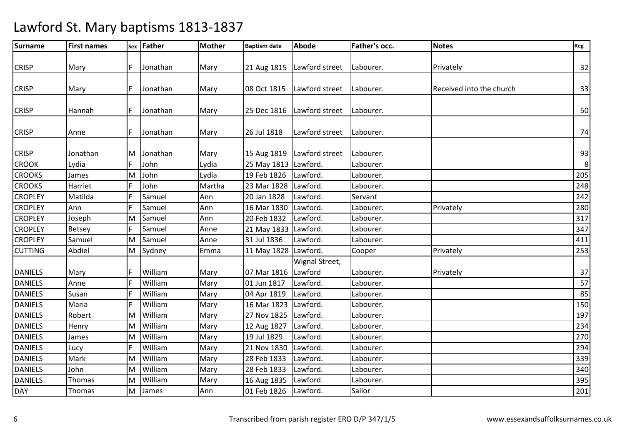| Surname        | <b>First names</b> |    | sex Father | <b>Mother</b> | <b>Baptism date</b>  | <b>Abode</b>                 | Father's occ. | <b>Notes</b>             | Reg |
|----------------|--------------------|----|------------|---------------|----------------------|------------------------------|---------------|--------------------------|-----|
|                |                    |    | Jonathan   |               |                      |                              | Labourer.     |                          |     |
| <b>CRISP</b>   | Mary               |    |            | Mary          |                      | 21 Aug 1815   Lawford street |               | Privately                | 32  |
| <b>CRISP</b>   | Mary               |    | Jonathan   | Mary          | 08 Oct 1815          | Lawford street               | Labourer.     | Received into the church | 33  |
| <b>CRISP</b>   | Hannah             | IF | Jonathan   | Mary          |                      | 25 Dec 1816   Lawford street | Labourer.     |                          | 50  |
| <b>CRISP</b>   | Anne               |    | Jonathan   | Mary          | 26 Jul 1818          | Lawford street               | Labourer.     |                          | 74  |
| <b>CRISP</b>   | Jonathan           | ΙM | Jonathan   | Mary          |                      | 15 Aug 1819   Lawford street | Labourer.     |                          | 93  |
| <b>CROOK</b>   | Lydia              |    | John       | Lydia         | 25 May 1813 Lawford. |                              | Labourer.     |                          | 8   |
| <b>CROOKS</b>  | James              | M  | John       | Lydia         | 19 Feb 1826          | Lawford.                     | Labourer.     |                          | 205 |
| <b>CROOKS</b>  | Harriet            |    | John       | Martha        | 23 Mar 1828          | Lawford.                     | Labourer.     |                          | 248 |
| <b>CROPLEY</b> | Matilda            |    | Samuel     | Ann           | 20 Jan 1828          | Lawford.                     | Servant       |                          | 242 |
| <b>CROPLEY</b> | Ann                |    | Samuel     | Ann           | 16 Mar 1830          | Lawford.                     | Labourer.     | Privately                | 280 |
| <b>CROPLEY</b> | Joseph             | lм | Samuel     | Ann           | 20 Feb 1832          | Lawford.                     | Labourer.     |                          | 317 |
| <b>CROPLEY</b> | Betsey             |    | Samuel     | Anne          | 21 May 1833          | Lawford.                     | Labourer.     |                          | 347 |
| <b>CROPLEY</b> | Samuel             | M  | Samuel     | Anne          | 31 Jul 1836          | Lawford.                     | Labourer.     |                          | 411 |
| <b>CUTTING</b> | Abdiel             | M  | Sydney     | Emma          | 11 May 1828 Lawford. |                              | Cooper        | Privately                | 253 |
| <b>DANIELS</b> | Mary               |    | William    | Mary          | 07 Mar 1816          | Wignal Street,<br>Lawford    | Labourer.     | Privately                | 37  |
| <b>DANIELS</b> | Anne               | F  | William    | Mary          | 01 Jun 1817          | Lawford.                     | Labourer.     |                          | 57  |
| <b>DANIELS</b> | Susan              |    | William    | Mary          | 04 Apr 1819          | Lawford.                     | Labourer.     |                          | 85  |
| <b>DANIELS</b> | Maria              | F  | William    | Mary          | 16 Mar 1823          | Lawford.                     | Labourer.     |                          | 150 |
| <b>DANIELS</b> | Robert             | M  | William    | Mary          | 27 Nov 1825          | Lawford.                     | Labourer.     |                          | 197 |
| <b>DANIELS</b> | Henry              | M  | William    | Mary          | 12 Aug 1827          | Lawford.                     | Labourer.     |                          | 234 |
| <b>DANIELS</b> | James              | ΙM | William    | Mary          | 19 Jul 1829          | Lawford.                     | Labourer.     |                          | 270 |
| <b>DANIELS</b> | Lucy               | F  | William    | Mary          | 21 Nov 1830          | Lawford.                     | Labourer.     |                          | 294 |
| <b>DANIELS</b> | Mark               | M  | William    | Mary          | 28 Feb 1833          | Lawford.                     | Labourer.     |                          | 339 |
| <b>DANIELS</b> | John               | M  | William    | Mary          | 28 Feb 1833          | Lawford.                     | Labourer.     |                          | 340 |
| <b>DANIELS</b> | Thomas             | M  | William    | Mary          | 16 Aug 1835          | Lawford.                     | Labourer.     |                          | 395 |
| <b>DAY</b>     | Thomas             | M  | James      | Ann           | 01 Feb 1826          | Lawford.                     | Sailor        |                          | 201 |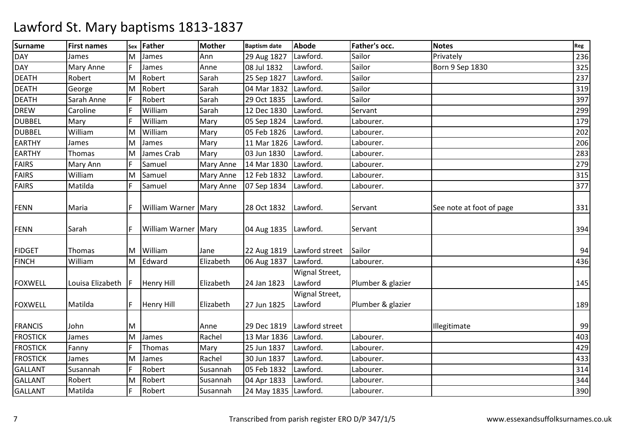| <b>Surname</b>  | <b>First names</b> | Sex | <b>Father</b>         | <b>Mother</b> | <b>Baptism date</b>    | <b>Abode</b>   | Father's occ.     | <b>Notes</b>             | Reg |
|-----------------|--------------------|-----|-----------------------|---------------|------------------------|----------------|-------------------|--------------------------|-----|
| <b>DAY</b>      | James              | M   | James                 | Ann           | 29 Aug 1827            | Lawford.       | Sailor            | Privately                | 236 |
| <b>DAY</b>      | <b>Mary Anne</b>   | F.  | James                 | Anne          | 08 Jul 1832            | Lawford.       | Sailor            | Born 9 Sep 1830          | 325 |
| <b>DEATH</b>    | Robert             | M   | Robert                | Sarah         | 25 Sep 1827            | Lawford.       | Sailor            |                          | 237 |
| <b>DEATH</b>    | George             | М   | Robert                | Sarah         | 04 Mar 1832            | Lawford.       | Sailor            |                          | 319 |
| <b>DEATH</b>    | Sarah Anne         | F   | Robert                | Sarah         | 29 Oct 1835            | Lawford.       | Sailor            |                          | 397 |
| <b>DREW</b>     | Caroline           |     | William               | Sarah         | 12 Dec 1830            | Lawford.       | Servant           |                          | 299 |
| <b>DUBBEL</b>   | Mary               |     | William               | Mary          | 05 Sep 1824            | Lawford.       | Labourer.         |                          | 179 |
| <b>DUBBEL</b>   | William            | M   | William               | Mary          | 05 Feb 1826            | Lawford.       | Labourer.         |                          | 202 |
| <b>EARTHY</b>   | James              | М   | James                 | Mary          | 11 Mar 1826            | Lawford.       | Labourer.         |                          | 206 |
| <b>EARTHY</b>   | Thomas             | М   | James Crab            | Mary          | 03 Jun 1830            | Lawford.       | Labourer.         |                          | 283 |
| <b>FAIRS</b>    | Mary Ann           |     | Samuel                | Mary Anne     | 14 Mar 1830            | Lawford.       | Labourer.         |                          | 279 |
| <b>FAIRS</b>    | William            | M   | Samuel                | Mary Anne     | 12 Feb 1832            | Lawford.       | Labourer.         |                          | 315 |
| <b>FAIRS</b>    | Matilda            | F   | Samuel                | Mary Anne     | 07 Sep 1834            | Lawford.       | Labourer.         |                          | 377 |
|                 |                    |     |                       |               |                        |                |                   |                          |     |
| <b>FENN</b>     | Maria              |     | William Warner   Mary |               | 28 Oct 1832            | Lawford.       | Servant           | See note at foot of page | 331 |
|                 |                    |     |                       |               |                        |                |                   |                          |     |
| <b>FENN</b>     | Sarah              | F   | William Warner Mary   |               | 04 Aug 1835   Lawford. |                | Servant           |                          | 394 |
|                 |                    |     |                       |               |                        |                |                   |                          |     |
| <b>FIDGET</b>   | Thomas             | M   | William               | Jane          | 22 Aug 1819            | Lawford street | Sailor            |                          | 94  |
| <b>FINCH</b>    | William            | M   | Edward                | Elizabeth     | 06 Aug 1837            | Lawford.       | Labourer.         |                          | 436 |
|                 |                    |     |                       |               |                        | Wignal Street, |                   |                          |     |
| <b>FOXWELL</b>  | Louisa Elizabeth   |     | <b>Henry Hill</b>     | Elizabeth     | 24 Jan 1823            | Lawford        | Plumber & glazier |                          | 145 |
|                 |                    |     |                       |               |                        | Wignal Street, |                   |                          |     |
| <b>FOXWELL</b>  | Matilda            | F.  | <b>Henry Hill</b>     | Elizabeth     | 27 Jun 1825            | Lawford        | Plumber & glazier |                          | 189 |
|                 |                    |     |                       |               |                        |                |                   |                          |     |
| <b>FRANCIS</b>  | John               | M   |                       | Anne          | 29 Dec 1819            | Lawford street |                   | Illegitimate             | 99  |
| <b>FROSTICK</b> | James              | M   | James                 | Rachel        | 13 Mar 1836            | Lawford.       | Labourer.         |                          | 403 |
| <b>FROSTICK</b> | Fanny              | F   | Thomas                | Mary          | 25 Jun 1837            | Lawford.       | Labourer.         |                          | 429 |
| <b>FROSTICK</b> | James              | M   | James                 | Rachel        | 30 Jun 1837            | Lawford.       | Labourer.         |                          | 433 |
| <b>GALLANT</b>  | Susannah           |     | Robert                | Susannah      | 05 Feb 1832            | Lawford.       | Labourer.         |                          | 314 |
| <b>GALLANT</b>  | Robert             | M   | Robert                | Susannah      | 04 Apr 1833            | Lawford.       | Labourer.         |                          | 344 |
| <b>GALLANT</b>  | Matilda            | F.  | Robert                | Susannah      | 24 May 1835 Lawford.   |                | Labourer.         |                          | 390 |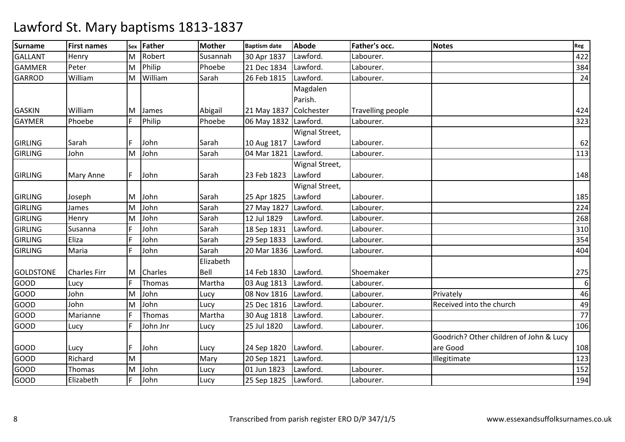| <b>Surname</b>   | <b>First names</b>  | Sex      | Father   | <b>Mother</b> | <b>Baptism date</b>    | <b>Abode</b>   | Father's occ.     | <b>Notes</b>                            | Reg              |
|------------------|---------------------|----------|----------|---------------|------------------------|----------------|-------------------|-----------------------------------------|------------------|
| <b>GALLANT</b>   | Henry               | M        | Robert   | Susannah      | 30 Apr 1837            | Lawford.       | Labourer.         |                                         | 422              |
| <b>GAMMER</b>    | Peter               | M        | Philip   | Phoebe        | 21 Dec 1834            | Lawford.       | Labourer.         |                                         | 384              |
| <b>GARROD</b>    | William             | M        | William  | Sarah         | 26 Feb 1815            | Lawford.       | Labourer.         |                                         | 24               |
|                  |                     |          |          |               |                        | Magdalen       |                   |                                         |                  |
|                  |                     |          |          |               |                        | Parish.        |                   |                                         |                  |
| <b>GASKIN</b>    | William             | ΙM       | James    | Abigail       | 21 May 1837 Colchester |                | Travelling people |                                         | 424              |
| <b>GAYMER</b>    | Phoebe              | IF.      | Philip   | Phoebe        | 06 May 1832 Lawford.   |                | Labourer.         |                                         | 323              |
|                  |                     |          |          |               |                        | Wignal Street, |                   |                                         |                  |
| <b>GIRLING</b>   | Sarah               |          | John     | Sarah         | 10 Aug 1817            | Lawford        | Labourer.         |                                         | 62               |
| <b>GIRLING</b>   | John                | M        | John     | Sarah         | 04 Mar 1821            | Lawford.       | Labourer.         |                                         | 113              |
|                  |                     |          |          |               |                        | Wignal Street, |                   |                                         |                  |
| <b>GIRLING</b>   | Mary Anne           |          | John     | Sarah         | 23 Feb 1823            | Lawford        | Labourer.         |                                         | 148              |
|                  |                     |          |          |               |                        | Wignal Street, |                   |                                         |                  |
| <b>GIRLING</b>   | Joseph              | M        | John     | Sarah         | 25 Apr 1825            | Lawford        | Labourer.         |                                         | 185              |
| <b>GIRLING</b>   | James               | M        | John     | Sarah         | 27 May 1827            | Lawford.       | Labourer.         |                                         | 224              |
| <b>GIRLING</b>   | Henry               | M        | John     | Sarah         | 12 Jul 1829            | Lawford.       | Labourer.         |                                         | 268              |
| <b>GIRLING</b>   | Susanna             | F        | John     | Sarah         | 18 Sep 1831            | Lawford.       | Labourer.         |                                         | 310              |
| <b>GIRLING</b>   | Eliza               |          | John     | Sarah         | 29 Sep 1833            | Lawford.       | Labourer.         |                                         | 354              |
| <b>GIRLING</b>   | Maria               |          | John     | Sarah         | 20 Mar 1836            | Lawford.       | Labourer.         |                                         | 404              |
|                  |                     |          |          | Elizabeth     |                        |                |                   |                                         |                  |
| <b>GOLDSTONE</b> | <b>Charles Firr</b> | ΙM       | Charles  | Bell          | 14 Feb 1830            | Lawford.       | Shoemaker         |                                         | 275              |
| <b>GOOD</b>      | Lucy                |          | Thomas   | Martha        | 03 Aug 1813            | Lawford.       | Labourer.         |                                         | $\boldsymbol{6}$ |
| GOOD             | John                | M        | John     | Lucy          | 08 Nov 1816            | Lawford.       | Labourer.         | Privately                               | 46               |
| GOOD             | John                | <b>M</b> | John     | Lucy          | 25 Dec 1816            | Lawford.       | Labourer.         | Received into the church                | 49               |
| GOOD             | Marianne            |          | Thomas   | Martha        | 30 Aug 1818            | Lawford.       | Labourer.         |                                         | 77               |
| <b>GOOD</b>      | Lucy                | F        | John Jnr | Lucy          | 25 Jul 1820            | Lawford.       | Labourer.         |                                         | 106              |
|                  |                     |          |          |               |                        |                |                   | Goodrich? Other children of John & Lucy |                  |
| <b>GOOD</b>      | Lucy                | IF.      | John     | Lucy          | 24 Sep 1820            | Lawford.       | Labourer.         | are Good                                | 108              |
| <b>GOOD</b>      | Richard             | M        |          | Mary          | 20 Sep 1821            | Lawford.       |                   | Illegitimate                            | 123              |
| <b>GOOD</b>      | Thomas              | M        | John     | Lucy          | 01 Jun 1823            | Lawford.       | Labourer.         |                                         | 152              |
| <b>GOOD</b>      | Elizabeth           |          | John     | Lucy          | 25 Sep 1825            | Lawford.       | Labourer.         |                                         | 194              |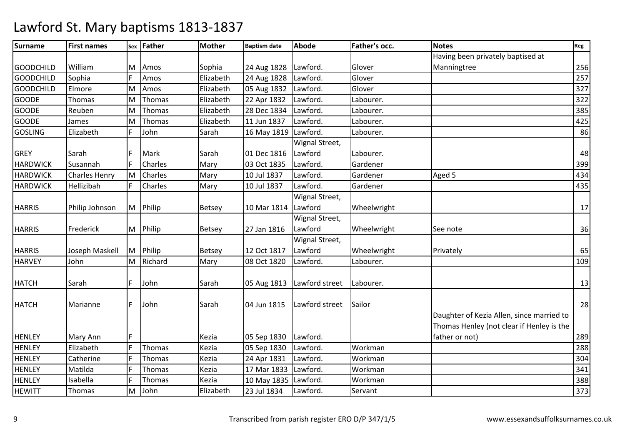| <b>Surname</b>   | <b>First names</b>   |          | sex Father     | <b>Mother</b> | <b>Baptism date</b>  | <b>Abode</b>   | <b>Father's occ.</b> | <b>Notes</b>                              | Reg |
|------------------|----------------------|----------|----------------|---------------|----------------------|----------------|----------------------|-------------------------------------------|-----|
|                  |                      |          |                |               |                      |                |                      | Having been privately baptised at         |     |
| <b>GOODCHILD</b> | William              | M        | Amos           | Sophia        | 24 Aug 1828          | Lawford.       | Glover               | Manningtree                               | 256 |
| <b>GOODCHILD</b> | Sophia               |          | Amos           | Elizabeth     | 24 Aug 1828          | Lawford.       | Glover               |                                           | 257 |
| <b>GOODCHILD</b> | Elmore               | M        | Amos           | Elizabeth     | 05 Aug 1832          | Lawford.       | Glover               |                                           | 327 |
| <b>GOODE</b>     | Thomas               | ΙM       | Thomas         | Elizabeth     | 22 Apr 1832          | Lawford.       | Labourer.            |                                           | 322 |
| <b>GOODE</b>     | Reuben               | M        | Thomas         | Elizabeth     | 28 Dec 1834          | Lawford.       | Labourer.            |                                           | 385 |
| <b>GOODE</b>     | James                | M        | Thomas         | Elizabeth     | 11 Jun 1837          | Lawford.       | Labourer.            |                                           | 425 |
| <b>GOSLING</b>   | Elizabeth            |          | John           | Sarah         | 16 May 1819 Lawford. |                | Labourer.            |                                           | 86  |
|                  |                      |          |                |               |                      | Wignal Street, |                      |                                           |     |
| <b>GREY</b>      | Sarah                | IF.      | Mark           | Sarah         | 01 Dec 1816          | Lawford        | Labourer.            |                                           | 48  |
| <b>HARDWICK</b>  | Susannah             | IF.      | Charles        | Mary          | 03 Oct 1835          | Lawford.       | Gardener             |                                           | 399 |
| <b>HARDWICK</b>  | <b>Charles Henry</b> | <b>M</b> | Charles        | Mary          | 10 Jul 1837          | Lawford.       | Gardener             | Aged 5                                    | 434 |
| <b>HARDWICK</b>  | Hellizibah           | IF.      | <b>Charles</b> | Mary          | 10 Jul 1837          | Lawford.       | Gardener             |                                           | 435 |
|                  |                      |          |                |               |                      | Wignal Street, |                      |                                           |     |
| <b>HARRIS</b>    | Philip Johnson       | M        | Philip         | <b>Betsey</b> | 10 Mar 1814 Lawford  |                | Wheelwright          |                                           | 17  |
|                  |                      |          |                |               |                      | Wignal Street, |                      |                                           |     |
| <b>HARRIS</b>    | Frederick            |          | M Philip       | <b>Betsey</b> | 27 Jan 1816          | Lawford        | Wheelwright          | See note                                  | 36  |
|                  |                      |          |                |               |                      | Wignal Street, |                      |                                           |     |
| <b>HARRIS</b>    | Joseph Maskell       | M        | Philip         | Betsey        | 12 Oct 1817          | Lawford        | Wheelwright          | Privately                                 | 65  |
| <b>HARVEY</b>    | John                 | M        | Richard        | Mary          | 08 Oct 1820          | Lawford.       | Labourer.            |                                           | 109 |
|                  |                      |          |                |               |                      |                |                      |                                           |     |
| <b>HATCH</b>     | Sarah                | IF.      | John           | Sarah         | 05 Aug 1813          | Lawford street | Labourer.            |                                           | 13  |
|                  |                      |          |                |               |                      |                |                      |                                           |     |
| <b>HATCH</b>     | Marianne             | IF.      | John           | Sarah         | 04 Jun 1815          | Lawford street | Sailor               |                                           | 28  |
|                  |                      |          |                |               |                      |                |                      | Daughter of Kezia Allen, since married to |     |
|                  |                      |          |                |               |                      |                |                      | Thomas Henley (not clear if Henley is the |     |
| <b>HENLEY</b>    | Mary Ann             | IF.      |                | Kezia         | 05 Sep 1830          | Lawford.       |                      | father or not)                            | 289 |
| <b>HENLEY</b>    | Elizabeth            | F        | Thomas         | Kezia         | 05 Sep 1830          | Lawford.       | Workman              |                                           | 288 |
| <b>HENLEY</b>    | Catherine            |          | Thomas         | Kezia         | 24 Apr 1831          | Lawford.       | Workman              |                                           | 304 |
| <b>HENLEY</b>    | Matilda              | IF.      | Thomas         | Kezia         | 17 Mar 1833          | Lawford.       | Workman              |                                           | 341 |
| <b>HENLEY</b>    | Isabella             | lF.      | Thomas         | Kezia         | 10 May 1835 Lawford. |                | Workman              |                                           | 388 |
| <b>HEWITT</b>    | Thomas               | M        | John           | Elizabeth     | 23 Jul 1834          | Lawford.       | Servant              |                                           | 373 |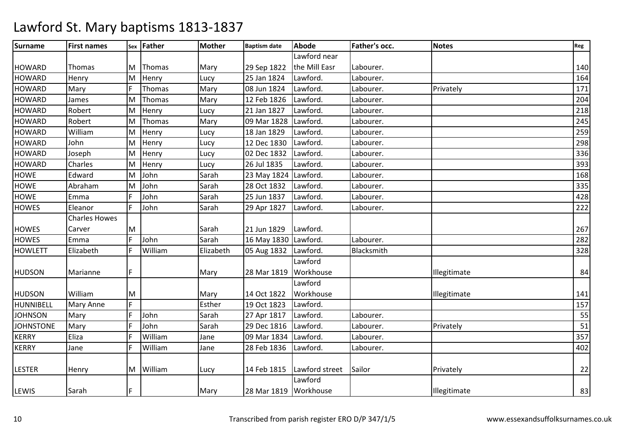| Surname          | <b>First names</b>   |    | sex Father | <b>Mother</b> | <b>Baptism date</b>   | <b>Abode</b>   | Father's occ. | <b>Notes</b> | Reg |
|------------------|----------------------|----|------------|---------------|-----------------------|----------------|---------------|--------------|-----|
|                  |                      |    |            |               |                       | Lawford near   |               |              |     |
| <b>HOWARD</b>    | Thomas               | ΙM | Thomas     | Mary          | 29 Sep 1822           | the Mill Easr  | Labourer.     |              | 140 |
| <b>HOWARD</b>    | Henry                | M  | Henry      | Lucy          | 25 Jan 1824           | Lawford.       | Labourer.     |              | 164 |
| <b>HOWARD</b>    | Mary                 |    | Thomas     | Mary          | 08 Jun 1824           | Lawford.       | Labourer.     | Privately    | 171 |
| <b>HOWARD</b>    | James                | M  | Thomas     | Mary          | 12 Feb 1826           | Lawford.       | Labourer.     |              | 204 |
| <b>HOWARD</b>    | Robert               | M  | Henry      | Lucy          | 21 Jan 1827           | Lawford.       | Labourer.     |              | 218 |
| <b>HOWARD</b>    | Robert               | M  | Thomas     | Mary          | 09 Mar 1828           | Lawford.       | Labourer.     |              | 245 |
| <b>HOWARD</b>    | William              | M  | Henry      | Lucy          | 18 Jan 1829           | Lawford.       | Labourer.     |              | 259 |
| <b>HOWARD</b>    | John                 | M  | Henry      | Lucy          | 12 Dec 1830           | Lawford.       | Labourer.     |              | 298 |
| <b>HOWARD</b>    | Joseph               | M  | Henry      | Lucy          | 02 Dec 1832           | Lawford.       | Labourer.     |              | 336 |
| <b>HOWARD</b>    | Charles              | M  | Henry      | Lucy          | 26 Jul 1835           | Lawford.       | Labourer.     |              | 393 |
| <b>HOWE</b>      | Edward               | M  | John       | Sarah         | 23 May 1824 Lawford.  |                | Labourer.     |              | 168 |
| <b>HOWE</b>      | Abraham              | lм | John       | Sarah         | 28 Oct 1832           | Lawford.       | Labourer.     |              | 335 |
| <b>HOWE</b>      | Emma                 | F  | John       | Sarah         | 25 Jun 1837           | Lawford.       | Labourer.     |              | 428 |
| <b>HOWES</b>     | Eleanor              | F. | John       | Sarah         | 29 Apr 1827           | Lawford.       | Labourer.     |              | 222 |
|                  | <b>Charles Howes</b> |    |            |               |                       |                |               |              |     |
| <b>HOWES</b>     | Carver               | ΙM |            | Sarah         | 21 Jun 1829           | Lawford.       |               |              | 267 |
| <b>HOWES</b>     | Emma                 | F. | John       | Sarah         | 16 May 1830 Lawford.  |                | Labourer.     |              | 282 |
| <b>HOWLETT</b>   | Elizabeth            | F  | William    | Elizabeth     | 05 Aug 1832 Lawford.  |                | Blacksmith    |              | 328 |
|                  |                      |    |            |               |                       | Lawford        |               |              |     |
| <b>HUDSON</b>    | Marianne             | F  |            | Mary          | 28 Mar 1819           | Workhouse      |               | Illegitimate | 84  |
|                  |                      |    |            |               |                       | Lawford        |               |              |     |
| <b>HUDSON</b>    | William              | lм |            | Mary          | 14 Oct 1822           | Workhouse      |               | Illegitimate | 141 |
| HUNNIBELL        | <b>Mary Anne</b>     | F  |            | Esther        | 19 Oct 1823           | Lawford.       |               |              | 157 |
| <b>JOHNSON</b>   | Mary                 | F  | John       | Sarah         | 27 Apr 1817           | Lawford.       | Labourer.     |              | 55  |
| <b>JOHNSTONE</b> | Mary                 | F  | John       | Sarah         | 29 Dec 1816           | Lawford.       | Labourer.     | Privately    | 51  |
| <b>KERRY</b>     | Eliza                | F  | William    | Jane          | 09 Mar 1834           | Lawford.       | Labourer.     |              | 357 |
| <b>KERRY</b>     | Jane                 | F  | William    | Jane          | 28 Feb 1836           | Lawford.       | Labourer.     |              | 402 |
|                  |                      |    |            |               |                       |                |               |              |     |
| <b>LESTER</b>    | Henry                | M  | William    | Lucy          | 14 Feb 1815           | Lawford street | Sailor        | Privately    | 22  |
|                  |                      |    |            |               |                       | Lawford        |               |              |     |
| LEWIS            | Sarah                | IF |            | Mary          | 28 Mar 1819 Workhouse |                |               | Illegitimate | 83  |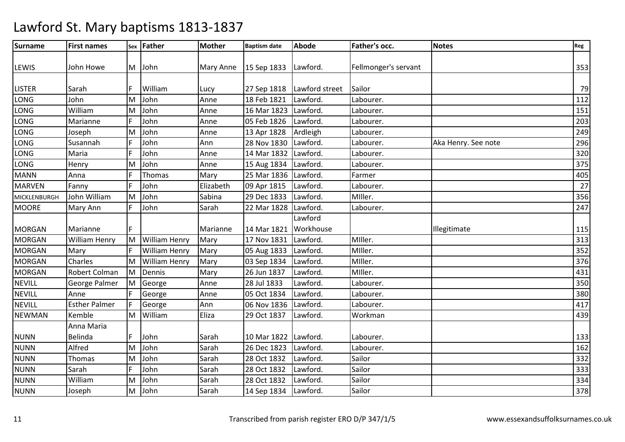| <b>Surname</b>      | <b>First names</b>   |          | sex Father           | <b>Mother</b> | <b>Baptism date</b>  | <b>Abode</b>   | Father's occ.        | <b>Notes</b>        | Reg |
|---------------------|----------------------|----------|----------------------|---------------|----------------------|----------------|----------------------|---------------------|-----|
| <b>LEWIS</b>        | John Howe            |          | M John               | Mary Anne     | 15 Sep 1833 Lawford. |                | Fellmonger's servant |                     | 353 |
| <b>LISTER</b>       | Sarah                |          | William              | Lucy          | 27 Sep 1818          | Lawford street | Sailor               |                     | 79  |
| LONG                | John                 | <b>M</b> | John                 | Anne          | 18 Feb 1821          | Lawford.       | Labourer.            |                     | 112 |
| LONG                | William              | M        | John                 | Anne          | 16 Mar 1823 Lawford. |                | Labourer.            |                     | 151 |
| LONG                | Marianne             | IF.      | John                 | Anne          | 05 Feb 1826          | Lawford.       | Labourer.            |                     | 203 |
| LONG                | Joseph               | <b>M</b> | John                 | Anne          | 13 Apr 1828          | Ardleigh       | Labourer.            |                     | 249 |
| ONG.                | Susannah             |          | John                 | Ann           | 28 Nov 1830          | Lawford.       | Labourer.            | Aka Henry. See note | 296 |
| LONG                | Maria                | F        | John                 | Anne          | 14 Mar 1832 Lawford. |                | Labourer.            |                     | 320 |
| LONG                | Henry                | M        | John                 | Anne          | 15 Aug 1834 Lawford. |                | Labourer.            |                     | 375 |
| <b>MANN</b>         | Anna                 |          | Thomas               | Mary          | 25 Mar 1836          | Lawford.       | Farmer               |                     | 405 |
| <b>MARVEN</b>       | Fanny                |          | John                 | Elizabeth     | 09 Apr 1815          | Lawford.       | Labourer.            |                     | 27  |
| <b>MICKLENBURGH</b> | John William         | <b>M</b> | John                 | Sabina        | 29 Dec 1833          | Lawford.       | MIller.              |                     | 356 |
| <b>MOORE</b>        | Mary Ann             | F        | John                 | Sarah         | 22 Mar 1828          | Lawford.       | Labourer.            |                     | 247 |
|                     |                      |          |                      |               |                      | Lawford        |                      |                     |     |
| <b>MORGAN</b>       | Marianne             |          |                      | Marianne      | 14 Mar 1821          | Workhouse      |                      | Illegitimate        | 115 |
| <b>MORGAN</b>       | <b>William Henry</b> | M        | <b>William Henry</b> | Mary          | 17 Nov 1831          | Lawford.       | MIller.              |                     | 313 |
| <b>MORGAN</b>       | Mary                 |          | <b>William Henry</b> | Mary          | 05 Aug 1833          | Lawford.       | MIller.              |                     | 352 |
| <b>MORGAN</b>       | Charles              | ΙM       | <b>William Henry</b> | Mary          | 03 Sep 1834          | Lawford.       | MIller.              |                     | 376 |
| <b>MORGAN</b>       | Robert Colman        | lм       | Dennis               | Mary          | 26 Jun 1837          | Lawford.       | MIller.              |                     | 431 |
| <b>NEVILL</b>       | George Palmer        | M        | George               | Anne          | 28 Jul 1833          | Lawford.       | Labourer.            |                     | 350 |
| <b>NEVILL</b>       | Anne                 |          | George               | Anne          | 05 Oct 1834          | Lawford.       | Labourer.            |                     | 380 |
| <b>NEVILL</b>       | <b>Esther Palmer</b> |          | George               | Ann           | 06 Nov 1836          | Lawford.       | Labourer.            |                     | 417 |
| <b>NEWMAN</b>       | Kemble               | M        | William              | Eliza         | 29 Oct 1837          | Lawford.       | Workman              |                     | 439 |
|                     | Anna Maria           |          |                      |               |                      |                |                      |                     |     |
| <b>NUNN</b>         | Belinda              | IF.      | John                 | Sarah         | 10 Mar 1822 Lawford. |                | Labourer.            |                     | 133 |
| <b>NUNN</b>         | Alfred               | <b>M</b> | John                 | Sarah         | 26 Dec 1823          | Lawford.       | Labourer.            |                     | 162 |
| <b>NUNN</b>         | Thomas               | M        | John                 | Sarah         | 28 Oct 1832          | Lawford.       | Sailor               |                     | 332 |
| <b>NUNN</b>         | Sarah                | IF.      | John                 | Sarah         | 28 Oct 1832          | Lawford.       | Sailor               |                     | 333 |
| <b>NUNN</b>         | William              | M        | John                 | Sarah         | 28 Oct 1832          | Lawford.       | Sailor               |                     | 334 |
| <b>NUNN</b>         | Joseph               | M        | John                 | Sarah         | 14 Sep 1834          | Lawford.       | Sailor               |                     | 378 |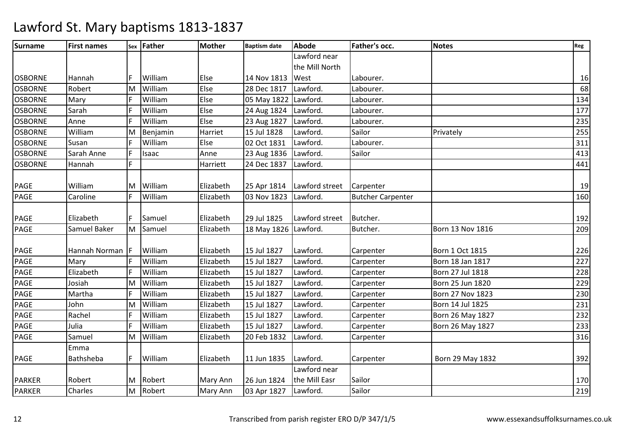| <b>Surname</b> | <b>First names</b> |          | sex Father | <b>Mother</b> | <b>Baptism date</b>  | <b>Abode</b>                 | Father's occ.            | <b>Notes</b>            | Reg |
|----------------|--------------------|----------|------------|---------------|----------------------|------------------------------|--------------------------|-------------------------|-----|
|                |                    |          |            |               |                      | Lawford near                 |                          |                         |     |
|                |                    |          |            |               |                      | the Mill North               |                          |                         |     |
| <b>OSBORNE</b> | Hannah             |          | William    | Else          | 14 Nov 1813          | West                         | Labourer.                |                         | 16  |
| <b>OSBORNE</b> | Robert             | lм       | William    | Else          | 28 Dec 1817          | Lawford.                     | Labourer.                |                         | 68  |
| <b>OSBORNE</b> | Mary               | IF.      | William    | Else          | 05 May 1822 Lawford. |                              | Labourer.                |                         | 134 |
| <b>OSBORNE</b> | Sarah              | F        | William    | Else          | 24 Aug 1824 Lawford. |                              | Labourer.                |                         | 177 |
| <b>OSBORNE</b> | Anne               | IF.      | William    | Else          | 23 Aug 1827          | Lawford.                     | Labourer.                |                         | 235 |
| <b>OSBORNE</b> | William            | <b>M</b> | Benjamin   | Harriet       | 15 Jul 1828          | Lawford.                     | Sailor                   | Privately               | 255 |
| <b>OSBORNE</b> | Susan              |          | William    | Else          | 02 Oct 1831          | Lawford.                     | Labourer.                |                         | 311 |
| <b>OSBORNE</b> | Sarah Anne         | IF.      | Isaac      | Anne          | 23 Aug 1836          | Lawford.                     | Sailor                   |                         | 413 |
| <b>OSBORNE</b> | Hannah             |          |            | Harriett      | 24 Dec 1837          | Lawford.                     |                          |                         | 441 |
|                |                    |          |            |               |                      |                              |                          |                         |     |
| <b>PAGE</b>    | William            | M        | William    | Elizabeth     |                      | 25 Apr 1814   Lawford street | Carpenter                |                         | 19  |
| PAGE           | Caroline           | IF.      | William    | Elizabeth     | 03 Nov 1823          | Lawford.                     | <b>Butcher Carpenter</b> |                         | 160 |
|                |                    |          |            |               |                      |                              |                          |                         |     |
| <b>PAGE</b>    | Elizabeth          | IF.      | Samuel     | Elizabeth     | 29 Jul 1825          | Lawford street               | Butcher.                 |                         | 192 |
| PAGE           | Samuel Baker       | M        | Samuel     | Elizabeth     | 18 May 1826 Lawford. |                              | Butcher.                 | Born 13 Nov 1816        | 209 |
|                |                    |          |            |               |                      |                              |                          |                         |     |
| <b>PAGE</b>    | Hannah Norman F    |          | William    | Elizabeth     | 15 Jul 1827          | Lawford.                     | Carpenter                | Born 1 Oct 1815         | 226 |
| PAGE           | Mary               |          | William    | Elizabeth     | 15 Jul 1827          | Lawford.                     | Carpenter                | Born 18 Jan 1817        | 227 |
| PAGE           | Elizabeth          |          | William    | Elizabeth     | 15 Jul 1827          | Lawford.                     | Carpenter                | Born 27 Jul 1818        | 228 |
| PAGE           | Josiah             | M        | William    | Elizabeth     | 15 Jul 1827          | Lawford.                     | Carpenter                | Born 25 Jun 1820        | 229 |
| PAGE           | Martha             | IF.      | William    | Elizabeth     | 15 Jul 1827          | Lawford.                     | Carpenter                | <b>Born 27 Nov 1823</b> | 230 |
| PAGE           | John               | M        | William    | Elizabeth     | 15 Jul 1827          | Lawford.                     | Carpenter                | Born 14 Jul 1825        | 231 |
| PAGE           | Rachel             |          | William    | Elizabeth     | 15 Jul 1827          | Lawford.                     | Carpenter                | Born 26 May 1827        | 232 |
| PAGE           | Julia              |          | William    | Elizabeth     | 15 Jul 1827          | Lawford.                     | Carpenter                | Born 26 May 1827        | 233 |
| PAGE           | Samuel             | ΙM       | William    | Elizabeth     | 20 Feb 1832          | Lawford.                     | Carpenter                |                         | 316 |
|                | Emma               |          |            |               |                      |                              |                          |                         |     |
| <b>PAGE</b>    | Bathsheba          | IF.      | William    | Elizabeth     | 11 Jun 1835          | Lawford.                     | Carpenter                | Born 29 May 1832        | 392 |
|                |                    |          |            |               |                      | Lawford near                 |                          |                         |     |
| <b>PARKER</b>  | Robert             | M        | Robert     | Mary Ann      | 26 Jun 1824          | the Mill Easr                | Sailor                   |                         | 170 |
| <b>PARKER</b>  | Charles            | M        | Robert     | Mary Ann      | 03 Apr 1827          | Lawford.                     | Sailor                   |                         | 219 |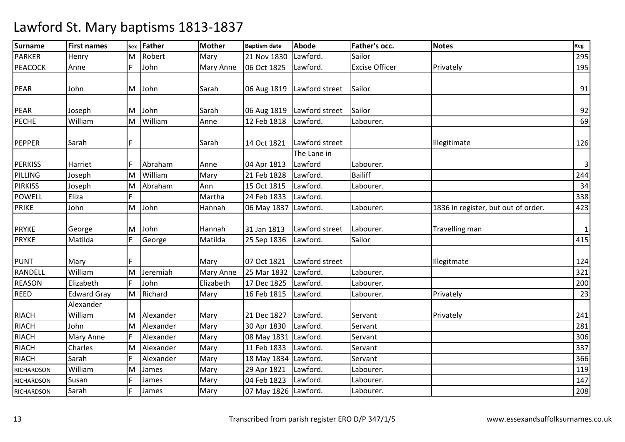| <b>Surname</b>    | <b>First names</b> | Sex | Father      | <b>Mother</b>    | <b>Baptism date</b>  | <b>Abode</b>                 | Father's occ.         | <b>Notes</b>                        | Reg                     |
|-------------------|--------------------|-----|-------------|------------------|----------------------|------------------------------|-----------------------|-------------------------------------|-------------------------|
| <b>PARKER</b>     | Henry              | ΙM  | Robert      | Mary             | 21 Nov 1830          | Lawford.                     | Sailor                |                                     | 295                     |
| <b>PEACOCK</b>    | Anne               | F   | John        | <b>Mary Anne</b> | 06 Oct 1825          | Lawford.                     | <b>Excise Officer</b> | Privately                           | 195                     |
|                   |                    |     |             |                  |                      |                              |                       |                                     |                         |
| PEAR              | John               |     | M John      | Sarah            |                      | 06 Aug 1819   Lawford street | Sailor                |                                     | 91                      |
|                   |                    |     |             |                  |                      |                              |                       |                                     |                         |
| <b>PEAR</b>       | Joseph             | M   | John        | Sarah            |                      | 06 Aug 1819   Lawford street | Sailor                |                                     | 92                      |
| <b>PECHE</b>      | William            | M   | William     | Anne             | 12 Feb 1818          | Lawford.                     | Labourer.             |                                     | 69                      |
|                   |                    |     |             |                  |                      |                              |                       |                                     |                         |
| <b>PEPPER</b>     | Sarah              | F   |             | Sarah            | 14 Oct 1821          | Lawford street               |                       | Illegitimate                        | 126                     |
|                   |                    |     |             |                  |                      | The Lane in                  |                       |                                     |                         |
| <b>PERKISS</b>    | Harriet            |     | Abraham     | Anne             | 04 Apr 1813          | Lawford                      | Labourer.             |                                     | $\overline{\mathbf{3}}$ |
| PILLING           | Joseph             | M   | William     | Mary             | 21 Feb 1828          | Lawford.                     | <b>Bailiff</b>        |                                     | 244                     |
| <b>PIRKISS</b>    | Joseph             | M   | Abraham     | Ann              | 15 Oct 1815          | Lawford.                     | Labourer.             |                                     | 34                      |
| <b>POWELL</b>     | Eliza              | F.  |             | Martha           | 24 Feb 1833          | Lawford.                     |                       |                                     | 338                     |
| <b>PRIKE</b>      | John               | M   | John        | Hannah           | 06 May 1837 Lawford. |                              | Labourer.             | 1836 in register, but out of order. | 423                     |
|                   |                    |     |             |                  |                      |                              |                       |                                     |                         |
| <b>PRYKE</b>      | George             | M   | John        | Hannah           | 31 Jan 1813          | Lawford street               | Labourer.             | Travelling man                      | $\vert$ 1               |
| <b>PRYKE</b>      | Matilda            | F   | George      | Matilda          | 25 Sep 1836          | Lawford.                     | Sailor                |                                     | 415                     |
|                   |                    |     |             |                  |                      |                              |                       |                                     |                         |
| <b>PUNT</b>       | Mary               |     |             | Mary             | 07 Oct 1821          | Lawford street               |                       | Illegitmate                         | 124                     |
| <b>RANDELL</b>    | William            | lм  | Jeremiah    | <b>Mary Anne</b> | 25 Mar 1832          | Lawford.                     | Labourer.             |                                     | 321                     |
| <b>REASON</b>     | Elizabeth          | F   | John        | Elizabeth        | 17 Dec 1825          | Lawford.                     | Labourer.             |                                     | 200                     |
| <b>REED</b>       | <b>Edward Gray</b> | İМ  | Richard     | Mary             | 16 Feb 1815          | Lawford.                     | Labourer.             | Privately                           | 23                      |
|                   | Alexander          |     |             |                  |                      |                              |                       |                                     |                         |
| <b>RIACH</b>      | William            |     | M Alexander | Mary             | 21 Dec 1827          | Lawford.                     | Servant               | Privately                           | 241                     |
| <b>RIACH</b>      | John               | İМ  | Alexander   | Mary             | 30 Apr 1830          | Lawford.                     | Servant               |                                     | 281                     |
| <b>RIACH</b>      | Mary Anne          |     | Alexander   | Mary             | 08 May 1831 Lawford. |                              | Servant               |                                     | 306                     |
| <b>RIACH</b>      | Charles            | M   | Alexander   | Mary             | 11 Feb 1833          | Lawford.                     | Servant               |                                     | 337                     |
| <b>RIACH</b>      | Sarah              | E   | Alexander   | Mary             | 18 May 1834 Lawford. |                              | Servant               |                                     | 366                     |
| <b>RICHARDSON</b> | William            | M   | James       | Mary             | 29 Apr 1821          | Lawford.                     | Labourer.             |                                     | 119                     |
| RICHARDSON        | Susan              |     | James       | Mary             | 04 Feb 1823          | Lawford.                     | Labourer.             |                                     | 147                     |
| <b>RICHARDSON</b> | Sarah              | E   | James       | Mary             | 07 May 1826 Lawford. |                              | Labourer.             |                                     | 208                     |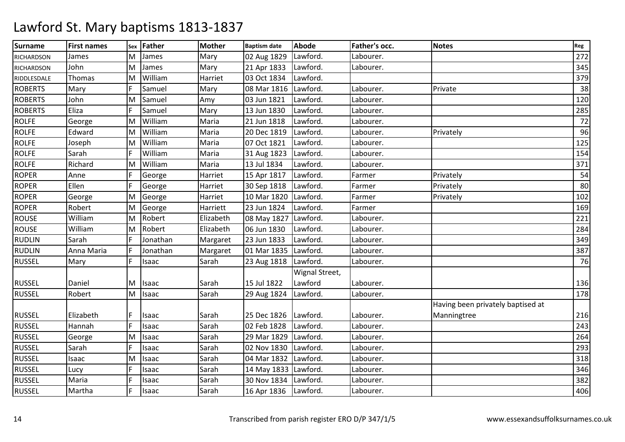| <b>Surname</b>    | <b>First names</b> | Sex | Father       | <b>Mother</b> | <b>Baptism date</b>    | <b>Abode</b>   | Father's occ. | <b>Notes</b>                      | Reg |
|-------------------|--------------------|-----|--------------|---------------|------------------------|----------------|---------------|-----------------------------------|-----|
| <b>RICHARDSON</b> | James              | M   | James        | Mary          | 02 Aug 1829            | Lawford.       | Labourer.     |                                   | 272 |
| <b>RICHARDSON</b> | John               | M   | James        | Mary          | 21 Apr 1833            | Lawford.       | Labourer.     |                                   | 345 |
| RIDDLESDALE       | Thomas             | lм  | William      | Harriet       | 03 Oct 1834            | Lawford.       |               |                                   | 379 |
| <b>ROBERTS</b>    | Mary               |     | Samuel       | Mary          | 08 Mar 1816 Lawford.   |                | Labourer.     | Private                           | 38  |
| <b>ROBERTS</b>    | John               | M   | Samuel       | Amy           | 03 Jun 1821            | Lawford.       | Labourer.     |                                   | 120 |
| <b>ROBERTS</b>    | Eliza              | F   | Samuel       | Mary          | 13 Jun 1830            | Lawford.       | Labourer.     |                                   | 285 |
| <b>ROLFE</b>      | George             | M   | William      | Maria         | 21 Jun 1818            | Lawford.       | Labourer.     |                                   | 72  |
| <b>ROLFE</b>      | Edward             | M   | William      | Maria         | 20 Dec 1819            | Lawford.       | Labourer.     | Privately                         | 96  |
| <b>ROLFE</b>      | Joseph             | M   | William      | Maria         | 07 Oct 1821            | Lawford.       | Labourer.     |                                   | 125 |
| <b>ROLFE</b>      | Sarah              |     | William      | Maria         | 31 Aug 1823            | Lawford.       | Labourer.     |                                   | 154 |
| <b>ROLFE</b>      | Richard            | lм  | William      | Maria         | 13 Jul 1834            | Lawford.       | Labourer.     |                                   | 371 |
| <b>ROPER</b>      | Anne               |     | George       | Harriet       | 15 Apr 1817            | Lawford.       | Farmer        | Privately                         | 54  |
| <b>ROPER</b>      | Ellen              | F.  | George       | Harriet       | 30 Sep 1818            | Lawford.       | Farmer        | Privately                         | 80  |
| <b>ROPER</b>      | George             | M   | George       | Harriet       | 10 Mar 1820            | Lawford.       | Farmer        | Privately                         | 102 |
| <b>ROPER</b>      | Robert             | M   | George       | Harriett      | 23 Jun 1824            | Lawford.       | Farmer        |                                   | 169 |
| <b>ROUSE</b>      | William            | M   | Robert       | Elizabeth     | 08 May 1827            | Lawford.       | Labourer.     |                                   | 221 |
| <b>ROUSE</b>      | William            | M   | Robert       | Elizabeth     | 06 Jun 1830            | Lawford.       | Labourer.     |                                   | 284 |
| <b>RUDLIN</b>     | Sarah              | F   | Jonathan     | Margaret      | 23 Jun 1833            | Lawford.       | Labourer.     |                                   | 349 |
| <b>RUDLIN</b>     | Anna Maria         |     | Jonathan     | Margaret      | 01 Mar 1835 Lawford.   |                | Labourer.     |                                   | 387 |
| <b>RUSSEL</b>     | Mary               | F   | <b>Isaac</b> | Sarah         | 23 Aug 1818            | Lawford.       | Labourer.     |                                   | 76  |
|                   |                    |     |              |               |                        | Wignal Street, |               |                                   |     |
| <b>RUSSEL</b>     | Daniel             | M   | Isaac        | Sarah         | 15 Jul 1822            | Lawford        | Labourer.     |                                   | 136 |
| <b>RUSSEL</b>     | Robert             | M   | Isaac        | Sarah         | 29 Aug 1824            | Lawford.       | Labourer.     |                                   | 178 |
|                   |                    |     |              |               |                        |                |               | Having been privately baptised at |     |
| <b>RUSSEL</b>     | Elizabeth          |     | <b>Isaac</b> | Sarah         | 25 Dec 1826   Lawford. |                | Labourer.     | Manningtree                       | 216 |
| <b>RUSSEL</b>     | Hannah             | F   | Isaac        | Sarah         | 02 Feb 1828            | Lawford.       | Labourer.     |                                   | 243 |
| <b>RUSSEL</b>     | George             | M   | Isaac        | Sarah         | 29 Mar 1829            | Lawford.       | Labourer.     |                                   | 264 |
| <b>RUSSEL</b>     | Sarah              | F   | <b>Isaac</b> | Sarah         | 02 Nov 1830            | Lawford.       | Labourer.     |                                   | 293 |
| <b>RUSSEL</b>     | Isaac              | M   | Isaac        | Sarah         | 04 Mar 1832 Lawford.   |                | Labourer.     |                                   | 318 |
| <b>RUSSEL</b>     | Lucy               |     | <b>Isaac</b> | Sarah         | 14 May 1833 Lawford.   |                | Labourer.     |                                   | 346 |
| <b>RUSSEL</b>     | Maria              |     | Isaac        | Sarah         | 30 Nov 1834 Lawford.   |                | Labourer.     |                                   | 382 |
| <b>RUSSEL</b>     | Martha             | F.  | Isaac        | Sarah         | 16 Apr 1836   Lawford. |                | Labourer.     |                                   | 406 |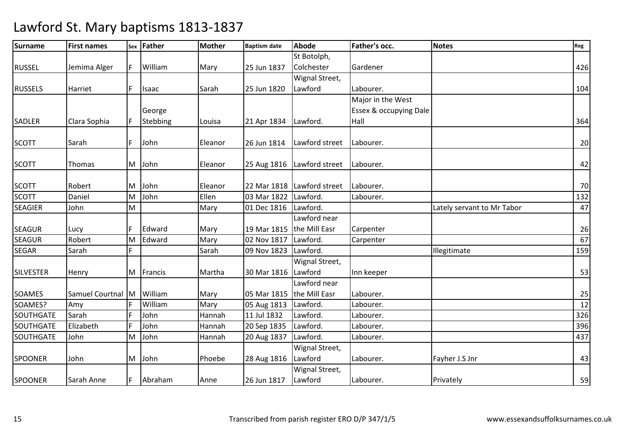| <b>Surname</b>   | <b>First names</b> |     | sex Father | <b>Mother</b> | <b>Baptism date</b>       | Abode                        | <b>Father's occ.</b>   | <b>Notes</b>               | Reg |
|------------------|--------------------|-----|------------|---------------|---------------------------|------------------------------|------------------------|----------------------------|-----|
|                  |                    |     |            |               |                           | St Botolph,                  |                        |                            |     |
| <b>RUSSEL</b>    | Jemima Alger       | IF. | William    | Mary          | 25 Jun 1837               | Colchester                   | Gardener               |                            | 426 |
|                  |                    |     |            |               |                           | Wignal Street,               |                        |                            |     |
| <b>RUSSELS</b>   | Harriet            | IF. | Isaac      | Sarah         | 25 Jun 1820               | Lawford                      | Labourer.              |                            | 104 |
|                  |                    |     |            |               |                           |                              | Major in the West      |                            |     |
|                  |                    |     | George     |               |                           |                              | Essex & occupying Dale |                            |     |
| <b>SADLER</b>    | Clara Sophia       | IF  | Stebbing   | Louisa        | 21 Apr 1834   Lawford.    |                              | Hall                   |                            | 364 |
|                  |                    |     |            |               |                           |                              |                        |                            |     |
| <b>SCOTT</b>     | Sarah              | F   | John       | Eleanor       | 26 Jun 1814               | Lawford street               | Labourer.              |                            | 20  |
|                  |                    |     |            |               |                           |                              |                        |                            |     |
| <b>SCOTT</b>     | Thomas             | M   | John       | Eleanor       |                           | 25 Aug 1816   Lawford street | Labourer.              |                            | 42  |
|                  |                    |     |            |               |                           |                              |                        |                            |     |
| <b>SCOTT</b>     | Robert             | lм  | John       | Eleanor       |                           | 22 Mar 1818 Lawford street   | Labourer.              |                            | 70  |
| <b>SCOTT</b>     | Daniel             | M   | John       | Ellen         | 03 Mar 1822               | Lawford.                     | Labourer.              |                            | 132 |
| <b>SEAGIER</b>   | John               | M   |            | Mary          | 01 Dec 1816               | Lawford.                     |                        | Lately servant to Mr Tabor | 47  |
|                  |                    |     |            |               |                           | Lawford near                 |                        |                            |     |
| <b>SEAGUR</b>    | Lucy               | IF  | Edward     | Mary          | 19 Mar 1815               | the Mill Easr                | Carpenter              |                            | 26  |
| <b>SEAGUR</b>    | Robert             | M   | Edward     | Mary          | 02 Nov 1817               | Lawford.                     | Carpenter              |                            | 67  |
| <b>SEGAR</b>     | Sarah              | F   |            | Sarah         | 09 Nov 1823               | Lawford.                     |                        | Illegitimate               | 159 |
|                  |                    |     |            |               |                           | Wignal Street,               |                        |                            |     |
| <b>SILVESTER</b> | Henry              | IМ  | Francis    | Martha        | 30 Mar 1816               | Lawford                      | Inn keeper             |                            | 53  |
|                  |                    |     |            |               |                           | Lawford near                 |                        |                            |     |
| <b>SOAMES</b>    | Samuel Courtnal M  |     | William    | Mary          | 05 Mar 1815 the Mill Easr |                              | Labourer.              |                            | 25  |
| SOAMES?          | Amy                |     | William    | Mary          | 05 Aug 1813               | Lawford.                     | Labourer.              |                            | 12  |
| SOUTHGATE        | Sarah              | F   | John       | Hannah        | 11 Jul 1832               | Lawford.                     | Labourer.              |                            | 326 |
| SOUTHGATE        | Elizabeth          | F   | John       | Hannah        | 20 Sep 1835               | Lawford.                     | Labourer.              |                            | 396 |
| <b>SOUTHGATE</b> | John               | M   | John       | Hannah        | 20 Aug 1837               | Lawford.                     | Labourer.              |                            | 437 |
|                  |                    |     |            |               |                           | Wignal Street,               |                        |                            |     |
| <b>SPOONER</b>   | John               | M   | John       | Phoebe        | 28 Aug 1816               | Lawford                      | Labourer.              | Fayher J.S Jnr             | 43  |
|                  |                    |     |            |               |                           | Wignal Street,               |                        |                            |     |
| <b>SPOONER</b>   | Sarah Anne         | IF. | Abraham    | Anne          | 26 Jun 1817               | Lawford                      | Labourer.              | Privately                  | 59  |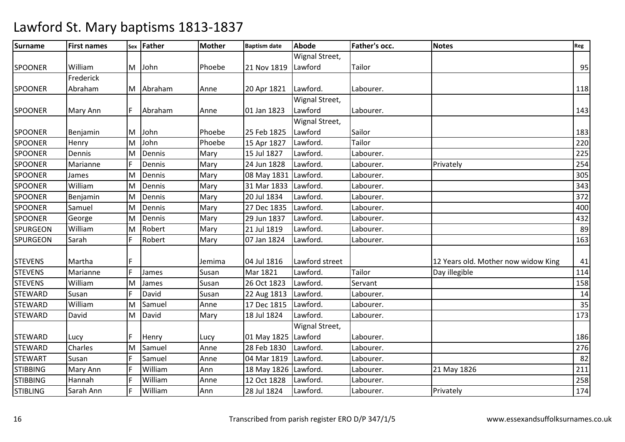| <b>Surname</b>  | <b>First names</b> | Sex | Father  | Mother | <b>Baptism date</b>  | <b>Abode</b>   | Father's occ. | <b>Notes</b>                        | Reg |
|-----------------|--------------------|-----|---------|--------|----------------------|----------------|---------------|-------------------------------------|-----|
|                 |                    |     |         |        |                      | Wignal Street, |               |                                     |     |
| <b>SPOONER</b>  | William            | lм  | John    | Phoebe | 21 Nov 1819          | Lawford        | Tailor        |                                     | 95  |
|                 | Frederick          |     |         |        |                      |                |               |                                     |     |
| <b>SPOONER</b>  | Abraham            | M   | Abraham | Anne   | 20 Apr 1821          | Lawford.       | Labourer.     |                                     | 118 |
|                 |                    |     |         |        |                      | Wignal Street, |               |                                     |     |
| <b>SPOONER</b>  | Mary Ann           | IF  | Abraham | Anne   | 01 Jan 1823          | Lawford        | Labourer.     |                                     | 143 |
|                 |                    |     |         |        |                      | Wignal Street, |               |                                     |     |
| <b>SPOONER</b>  | Benjamin           | lм  | John    | Phoebe | 25 Feb 1825          | Lawford        | Sailor        |                                     | 183 |
| <b>SPOONER</b>  | Henry              | M   | John    | Phoebe | 15 Apr 1827          | Lawford.       | Tailor        |                                     | 220 |
| <b>SPOONER</b>  | Dennis             | ΙM  | Dennis  | Mary   | 15 Jul 1827          | Lawford.       | Labourer.     |                                     | 225 |
| <b>SPOONER</b>  | Marianne           | F   | Dennis  | Mary   | 24 Jun 1828          | Lawford.       | Labourer.     | Privately                           | 254 |
| <b>SPOONER</b>  | James              | M   | Dennis  | Mary   | 08 May 1831          | Lawford.       | Labourer.     |                                     | 305 |
| <b>SPOONER</b>  | William            | M   | Dennis  | Mary   | 31 Mar 1833          | Lawford.       | Labourer.     |                                     | 343 |
| <b>SPOONER</b>  | Benjamin           | M   | Dennis  | Mary   | 20 Jul 1834          | Lawford.       | Labourer.     |                                     | 372 |
| <b>SPOONER</b>  | Samuel             | M   | Dennis  | Mary   | 27 Dec 1835          | Lawford.       | Labourer.     |                                     | 400 |
| <b>SPOONER</b>  | George             | M   | Dennis  | Mary   | 29 Jun 1837          | Lawford.       | Labourer.     |                                     | 432 |
| <b>SPURGEON</b> | William            | M   | Robert  | Mary   | 21 Jul 1819          | Lawford.       | Labourer.     |                                     | 89  |
| <b>SPURGEON</b> | Sarah              | F   | Robert  | Mary   | 07 Jan 1824          | Lawford.       | Labourer.     |                                     | 163 |
|                 |                    |     |         |        |                      |                |               |                                     |     |
| <b>STEVENS</b>  | Martha             | F   |         | Jemima | 04 Jul 1816          | Lawford street |               | 12 Years old. Mother now widow King | 41  |
| <b>STEVENS</b>  | Marianne           | F   | James   | Susan  | Mar 1821             | Lawford.       | Tailor        | Day illegible                       | 114 |
| <b>STEVENS</b>  | William            | M   | James   | Susan  | 26 Oct 1823          | Lawford.       | Servant       |                                     | 158 |
| <b>STEWARD</b>  | Susan              | F   | David   | Susan  | 22 Aug 1813          | Lawford.       | Labourer.     |                                     | 14  |
| <b>STEWARD</b>  | William            | M   | Samuel  | Anne   | 17 Dec 1815          | Lawford.       | Labourer.     |                                     | 35  |
| <b>STEWARD</b>  | David              | M   | David   | Mary   | 18 Jul 1824          | Lawford.       | Labourer.     |                                     | 173 |
|                 |                    |     |         |        |                      | Wignal Street, |               |                                     |     |
| <b>STEWARD</b>  | Lucy               | F   | Henry   | Lucy   | 01 May 1825          | Lawford        | Labourer.     |                                     | 186 |
| <b>STEWARD</b>  | Charles            | M   | Samuel  | Anne   | 28 Feb 1830          | Lawford.       | Labourer.     |                                     | 276 |
| <b>STEWART</b>  | Susan              |     | Samuel  | Anne   | 04 Mar 1819          | Lawford.       | Labourer.     |                                     | 82  |
| <b>STIBBING</b> | Mary Ann           | F   | William | Ann    | 18 May 1826 Lawford. |                | Labourer.     | 21 May 1826                         | 211 |
| <b>STIBBING</b> | Hannah             | Ē   | William | Anne   | 12 Oct 1828          | Lawford.       | Labourer.     |                                     | 258 |
| <b>STIBLING</b> | Sarah Ann          | F   | William | Ann    | 28 Jul 1824          | Lawford.       | Labourer.     | Privately                           | 174 |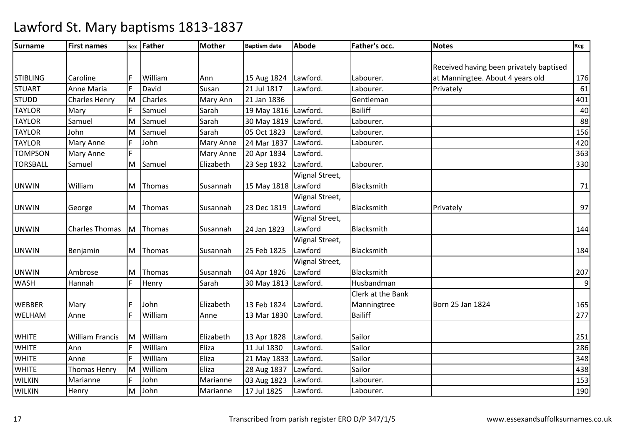| <b>Surname</b>  | <b>First names</b>     |     | sex Father | <b>Mother</b> | <b>Baptism date</b>    | <b>Abode</b>   | Father's occ.     | <b>Notes</b>                            | Reg              |
|-----------------|------------------------|-----|------------|---------------|------------------------|----------------|-------------------|-----------------------------------------|------------------|
|                 |                        |     |            |               |                        |                |                   |                                         |                  |
|                 |                        |     |            |               |                        |                |                   | Received having been privately baptised |                  |
| <b>STIBLING</b> | Caroline               | F   | William    | Ann           | 15 Aug 1824   Lawford. |                | Labourer.         | at Manningtee. About 4 years old        | 176              |
| <b>STUART</b>   | Anne Maria             | F   | David      | Susan         | 21 Jul 1817            | Lawford.       | Labourer.         | Privately                               | 61               |
| <b>STUDD</b>    | <b>Charles Henry</b>   | İМ  | Charles    | Mary Ann      | 21 Jan 1836            |                | Gentleman         |                                         | 401              |
| <b>TAYLOR</b>   | Mary                   | E   | Samuel     | Sarah         | 19 May 1816 Lawford.   |                | <b>Bailiff</b>    |                                         | 40               |
| <b>TAYLOR</b>   | Samuel                 | M   | Samuel     | Sarah         | 30 May 1819 Lawford.   |                | Labourer.         |                                         | 88               |
| <b>TAYLOR</b>   | John                   | M   | Samuel     | Sarah         | 05 Oct 1823            | Lawford.       | Labourer.         |                                         | 156              |
| <b>TAYLOR</b>   | <b>Mary Anne</b>       | E   | John       | Mary Anne     | 24 Mar 1837            | Lawford.       | Labourer.         |                                         | 420              |
| <b>TOMPSON</b>  | <b>Mary Anne</b>       | F   |            | Mary Anne     | 20 Apr 1834            | Lawford.       |                   |                                         | 363              |
| <b>TORSBALL</b> | Samuel                 | M   | Samuel     | Elizabeth     | 23 Sep 1832            | Lawford.       | Labourer.         |                                         | 330              |
|                 |                        |     |            |               |                        | Wignal Street, |                   |                                         |                  |
| <b>UNWIN</b>    | William                | M   | Thomas     | Susannah      | 15 May 1818 Lawford    |                | Blacksmith        |                                         | 71               |
|                 |                        |     |            |               |                        | Wignal Street, |                   |                                         |                  |
| <b>UNWIN</b>    | George                 | M   | Thomas     | Susannah      | 23 Dec 1819            | Lawford        | Blacksmith        | Privately                               | 97               |
|                 |                        |     |            |               |                        | Wignal Street, |                   |                                         |                  |
| <b>UNWIN</b>    | <b>Charles Thomas</b>  | lM. | Thomas     | Susannah      | 24 Jan 1823            | Lawford        | Blacksmith        |                                         | 144              |
|                 |                        |     |            |               |                        | Wignal Street, |                   |                                         |                  |
| <b>UNWIN</b>    | Benjamin               | M   | Thomas     | Susannah      | 25 Feb 1825            | Lawford        | Blacksmith        |                                         | 184              |
|                 |                        |     |            |               |                        | Wignal Street, |                   |                                         |                  |
| <b>UNWIN</b>    | Ambrose                | M   | Thomas     | Susannah      | 04 Apr 1826            | Lawford        | Blacksmith        |                                         | 207              |
| <b>WASH</b>     | Hannah                 | F.  | Henry      | Sarah         | 30 May 1813 Lawford.   |                | Husbandman        |                                         | $\boldsymbol{9}$ |
|                 |                        |     |            |               |                        |                | Clerk at the Bank |                                         |                  |
| <b>WEBBER</b>   | Mary                   | F   | John       | Elizabeth     | 13 Feb 1824            | Lawford.       | Manningtree       | Born 25 Jan 1824                        | 165              |
| WELHAM          | Anne                   | E   | William    | Anne          | 13 Mar 1830            | Lawford.       | <b>Bailiff</b>    |                                         | 277              |
|                 |                        |     |            |               |                        |                |                   |                                         |                  |
| <b>WHITE</b>    | <b>William Francis</b> | lм  | William    | Elizabeth     | 13 Apr 1828            | Lawford.       | Sailor            |                                         | 251              |
| <b>WHITE</b>    | Ann                    |     | William    | Eliza         | 11 Jul 1830            | Lawford.       | Sailor            |                                         | 286              |
| <b>WHITE</b>    | Anne                   |     | William    | Eliza         | 21 May 1833 Lawford.   |                | Sailor            |                                         | 348              |
| <b>WHITE</b>    | <b>Thomas Henry</b>    | M   | William    | Eliza         | 28 Aug 1837            | Lawford.       | Sailor            |                                         | 438              |
| <b>WILKIN</b>   | Marianne               | E.  | John       | Marianne      | 03 Aug 1823            | Lawford.       | Labourer.         |                                         | 153              |
| <b>WILKIN</b>   | Henry                  | M   | John       | Marianne      | 17 Jul 1825            | Lawford.       | Labourer.         |                                         | 190              |